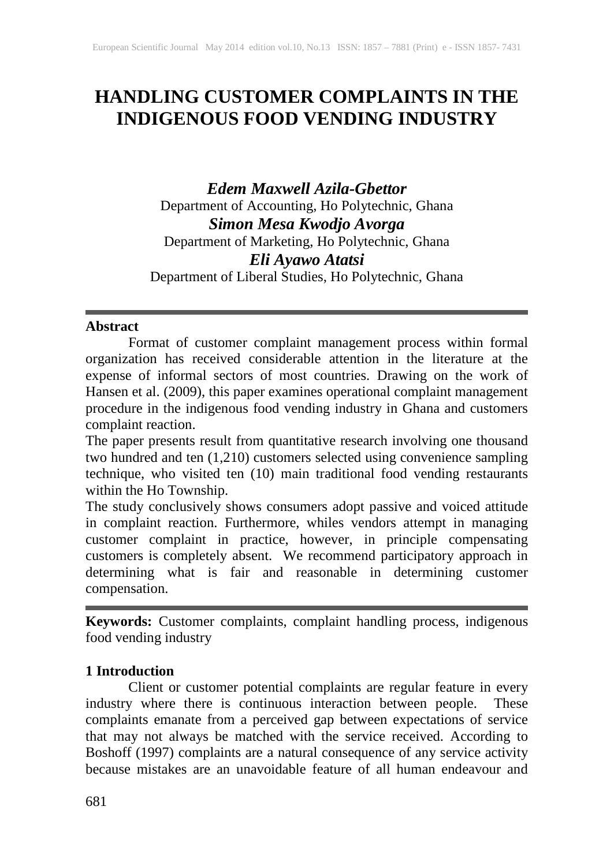# **HANDLING CUSTOMER COMPLAINTS IN THE INDIGENOUS FOOD VENDING INDUSTRY**

*Edem Maxwell Azila-Gbettor* Department of Accounting, Ho Polytechnic, Ghana *Simon Mesa Kwodjo Avorga* Department of Marketing, Ho Polytechnic, Ghana *Eli Ayawo Atatsi* Department of Liberal Studies, Ho Polytechnic, Ghana

#### **Abstract**

Format of customer complaint management process within formal organization has received considerable attention in the literature at the expense of informal sectors of most countries. Drawing on the work of Hansen et al. (2009), this paper examines operational complaint management procedure in the indigenous food vending industry in Ghana and customers complaint reaction.

The paper presents result from quantitative research involving one thousand two hundred and ten (1,210) customers selected using convenience sampling technique, who visited ten (10) main traditional food vending restaurants within the Ho Township.

The study conclusively shows consumers adopt passive and voiced attitude in complaint reaction. Furthermore, whiles vendors attempt in managing customer complaint in practice, however, in principle compensating customers is completely absent. We recommend participatory approach in determining what is fair and reasonable in determining customer compensation.

**Keywords:** Customer complaints, complaint handling process, indigenous food vending industry

## **1 Introduction**

Client or customer potential complaints are regular feature in every industry where there is continuous interaction between people. These complaints emanate from a perceived gap between expectations of service that may not always be matched with the service received. According to Boshoff (1997) complaints are a natural consequence of any service activity because mistakes are an unavoidable feature of all human endeavour and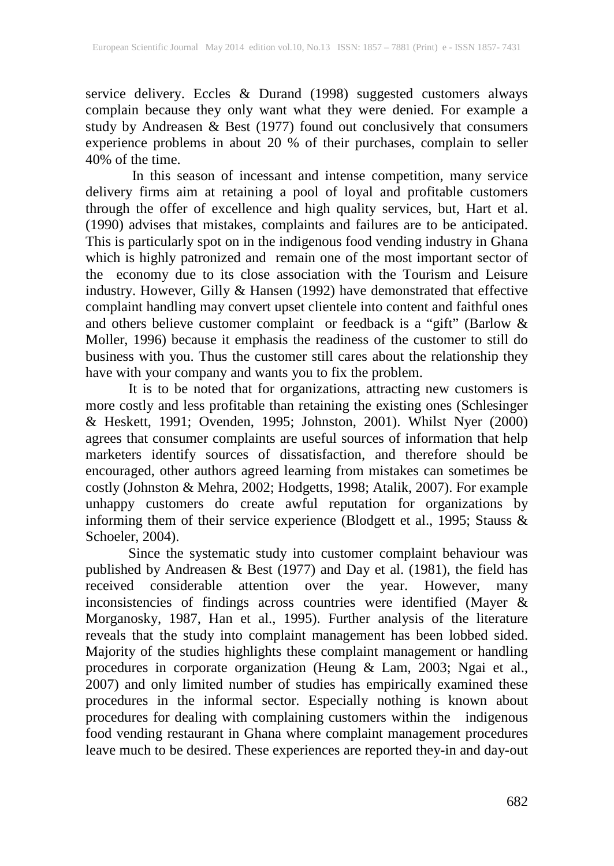service delivery. Eccles & Durand (1998) suggested customers always complain because they only want what they were denied. For example a study by Andreasen & Best (1977) found out conclusively that consumers experience problems in about 20 % of their purchases, complain to seller  $40\%$  of the time.

In this season of incessant and intense competition, many service delivery firms aim at retaining a pool of loyal and profitable customers through the offer of excellence and high quality services, but, Hart et al. (1990) advises that mistakes, complaints and failures are to be anticipated. This is particularly spot on in the indigenous food vending industry in Ghana which is highly patronized and remain one of the most important sector of the economy due to its close association with the Tourism and Leisure industry. However, Gilly & Hansen (1992) have demonstrated that effective complaint handling may convert upset clientele into content and faithful ones and others believe customer complaint or feedback is a "gift" (Barlow & Moller, 1996) because it emphasis the readiness of the customer to still do business with you. Thus the customer still cares about the relationship they have with your company and wants you to fix the problem.

It is to be noted that for organizations, attracting new customers is more costly and less profitable than retaining the existing ones (Schlesinger & Heskett, 1991; Ovenden, 1995; Johnston, 2001). Whilst Nyer (2000) agrees that consumer complaints are useful sources of information that help marketers identify sources of dissatisfaction, and therefore should be encouraged, other authors agreed learning from mistakes can sometimes be costly (Johnston & Mehra, 2002; Hodgetts, 1998; Atalik, 2007). For example unhappy customers do create awful reputation for organizations by informing them of their service experience (Blodgett et al., 1995; Stauss & Schoeler, 2004).

Since the systematic study into customer complaint behaviour was published by Andreasen & Best (1977) and Day et al. (1981), the field has received considerable attention over the year. However, many inconsistencies of findings across countries were identified (Mayer & Morganosky, 1987, Han et al., 1995). Further analysis of the literature reveals that the study into complaint management has been lobbed sided. Majority of the studies highlights these complaint management or handling procedures in corporate organization (Heung & Lam, 2003; Ngai et al., 2007) and only limited number of studies has empirically examined these procedures in the informal sector. Especially nothing is known about procedures for dealing with complaining customers within the indigenous food vending restaurant in Ghana where complaint management procedures leave much to be desired. These experiences are reported they-in and day-out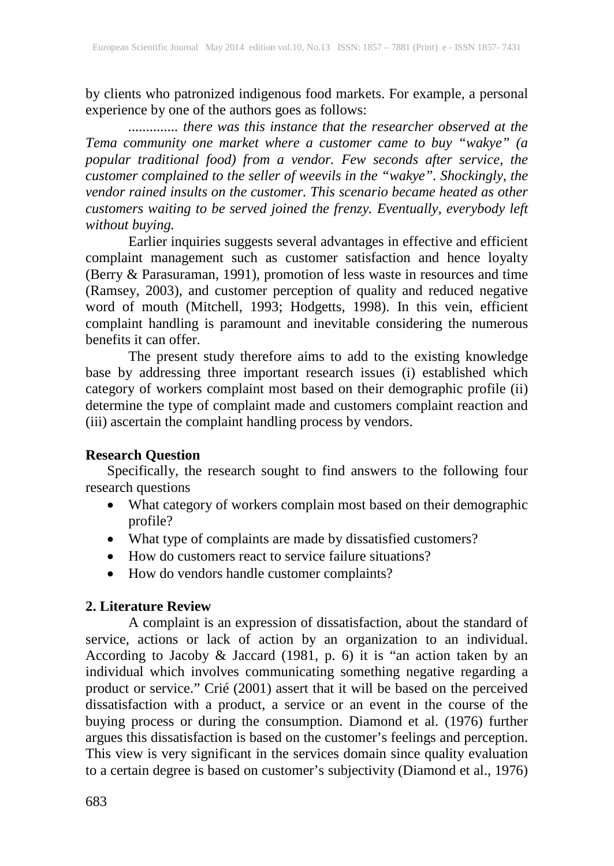by clients who patronized indigenous food markets. For example, a personal experience by one of the authors goes as follows:

*.............. there was this instance that the researcher observed at the Tema community one market where a customer came to buy "wakye" (a popular traditional food) from a vendor. Few seconds after service, the customer complained to the seller of weevils in the "wakye". Shockingly, the vendor rained insults on the customer. This scenario became heated as other customers waiting to be served joined the frenzy. Eventually, everybody left without buying.* 

Earlier inquiries suggests several advantages in effective and efficient complaint management such as customer satisfaction and hence loyalty (Berry & Parasuraman, 1991), promotion of less waste in resources and time (Ramsey, 2003), and customer perception of quality and reduced negative word of mouth (Mitchell, 1993; Hodgetts, 1998). In this vein, efficient complaint handling is paramount and inevitable considering the numerous benefits it can offer.

The present study therefore aims to add to the existing knowledge base by addressing three important research issues (i) established which category of workers complaint most based on their demographic profile (ii) determine the type of complaint made and customers complaint reaction and (iii) ascertain the complaint handling process by vendors.

## **Research Question**

Specifically, the research sought to find answers to the following four research questions

- What category of workers complain most based on their demographic profile?
- What type of complaints are made by dissatisfied customers?
- How do customers react to service failure situations?
- How do vendors handle customer complaints?

## **2. Literature Review**

A complaint is an expression of dissatisfaction, about the standard of service, actions or lack of action by an organization to an individual. According to Jacoby & Jaccard (1981, p. 6) it is "an action taken by an individual which involves communicating something negative regarding a product or service." Crié (2001) assert that it will be based on the perceived dissatisfaction with a product, a service or an event in the course of the buying process or during the consumption. Diamond et al. (1976) further argues this dissatisfaction is based on the customer's feelings and perception. This view is very significant in the services domain since quality evaluation to a certain degree is based on customer's subjectivity (Diamond et al., 1976)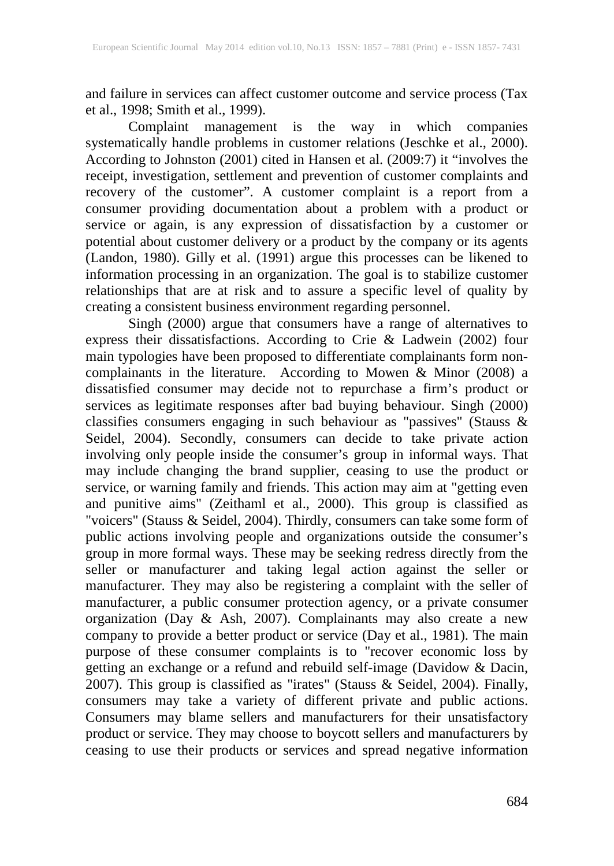and failure in services can affect customer outcome and service process (Tax et al., 1998; Smith et al., 1999).

Complaint management is the way in which companies systematically handle problems in customer relations (Jeschke et al., 2000). According to Johnston (2001) cited in Hansen et al. (2009:7) it "involves the receipt, investigation, settlement and prevention of customer complaints and recovery of the customer". A customer complaint is a report from a consumer providing documentation about a problem with a product or service or again, is any expression of dissatisfaction by a customer or potential about customer delivery or a product by the company or its agents (Landon, 1980). Gilly et al. (1991) argue this processes can be likened to information processing in an organization. The goal is to stabilize customer relationships that are at risk and to assure a specific level of quality by creating a consistent business environment regarding personnel.

Singh (2000) argue that consumers have a range of alternatives to express their dissatisfactions. According to Crie & Ladwein (2002) four main typologies have been proposed to differentiate complainants form noncomplainants in the literature. According to Mowen & Minor (2008) a dissatisfied consumer may decide not to repurchase a firm's product or services as legitimate responses after bad buying behaviour. Singh (2000) classifies consumers engaging in such behaviour as "passives" (Stauss & Seidel, 2004). Secondly, consumers can decide to take private action involving only people inside the consumer's group in informal ways. That may include changing the brand supplier, ceasing to use the product or service, or warning family and friends. This action may aim at "getting even and punitive aims" (Zeithaml et al., 2000). This group is classified as "voicers" (Stauss & Seidel, 2004). Thirdly, consumers can take some form of public actions involving people and organizations outside the consumer's group in more formal ways. These may be seeking redress directly from the seller or manufacturer and taking legal action against the seller or manufacturer. They may also be registering a complaint with the seller of manufacturer, a public consumer protection agency, or a private consumer organization (Day & Ash, 2007). Complainants may also create a new company to provide a better product or service (Day et al., 1981). The main purpose of these consumer complaints is to "recover economic loss by getting an exchange or a refund and rebuild self-image (Davidow & Dacin, 2007). This group is classified as "irates" (Stauss & Seidel, 2004). Finally, consumers may take a variety of different private and public actions. Consumers may blame sellers and manufacturers for their unsatisfactory product or service. They may choose to boycott sellers and manufacturers by ceasing to use their products or services and spread negative information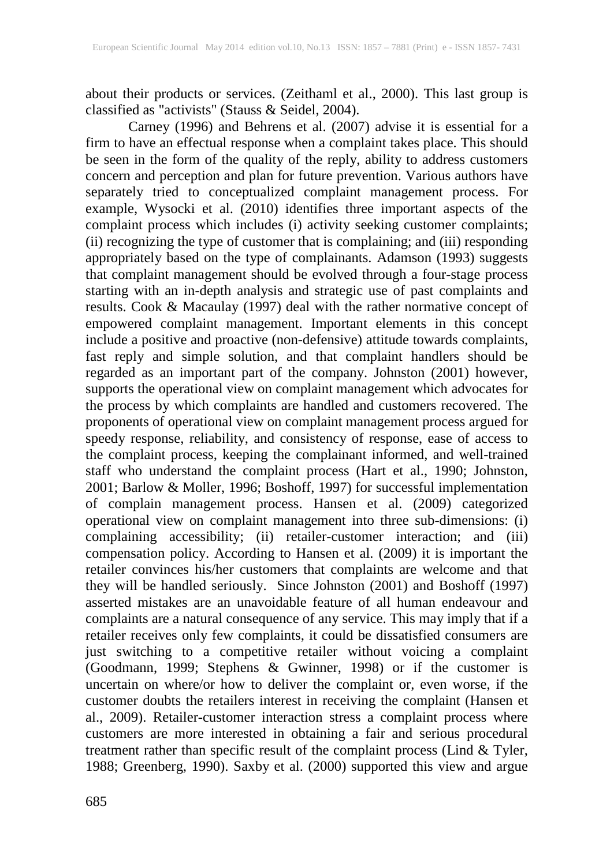about their products or services. (Zeithaml et al., 2000). This last group is classified as "activists" (Stauss & Seidel, 2004).<br>Carney (1996) and Behrens et al. (2007) advise it is essential for a

Carney (1996) and Behrens et al. (2007) advise it is essential for a firm to have an effectual response when a complaint takes place. This should be seen in the form of the quality of the reply, ability to address customers concern and perception and plan for future prevention. Various authors have separately tried to conceptualized complaint management process. For example, Wysocki et al. (2010) identifies three important aspects of the complaint process which includes (i) activity seeking customer complaints; (ii) recognizing the type of customer that is complaining; and (iii) responding appropriately based on the type of complainants. Adamson (1993) suggests that complaint management should be evolved through a four-stage process starting with an in-depth analysis and strategic use of past complaints and results. Cook & Macaulay (1997) deal with the rather normative concept of empowered complaint management. Important elements in this concept include a positive and proactive (non-defensive) attitude towards complaints, fast reply and simple solution, and that complaint handlers should be regarded as an important part of the company. Johnston (2001) however, supports the operational view on complaint management which advocates for the process by which complaints are handled and customers recovered. The proponents of operational view on complaint management process argued for speedy response, reliability, and consistency of response, ease of access to the complaint process, keeping the complainant informed, and well-trained staff who understand the complaint process (Hart et al., 1990; Johnston, 2001; Barlow & Moller, 1996; Boshoff, 1997) for successful implementation of complain management process. Hansen et al. (2009) categorized operational view on complaint management into three sub-dimensions: (i) complaining accessibility; (ii) retailer-customer interaction; and (iii) compensation policy. According to Hansen et al. (2009) it is important the retailer convinces his/her customers that complaints are welcome and that they will be handled seriously. Since Johnston (2001) and Boshoff (1997) asserted mistakes are an unavoidable feature of all human endeavour and complaints are a natural consequence of any service. This may imply that if a retailer receives only few complaints, it could be dissatisfied consumers are just switching to a competitive retailer without voicing a complaint (Goodmann, 1999; Stephens & Gwinner, 1998) or if the customer is uncertain on where/or how to deliver the complaint or, even worse, if the customer doubts the retailers interest in receiving the complaint (Hansen et al., 2009). Retailer-customer interaction stress a complaint process where customers are more interested in obtaining a fair and serious procedural treatment rather than specific result of the complaint process (Lind & Tyler, 1988; Greenberg, 1990). Saxby et al. (2000) supported this view and argue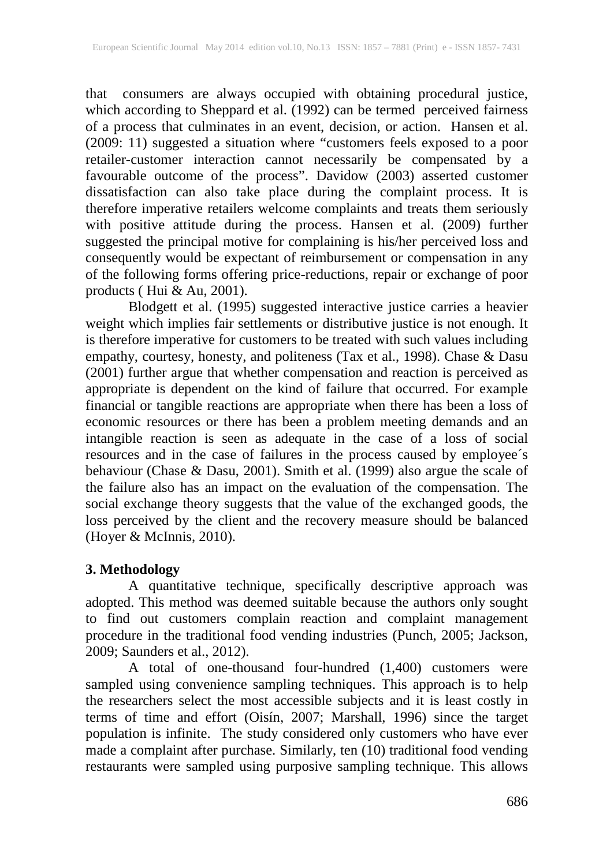that consumers are always occupied with obtaining procedural justice, which according to Sheppard et al. (1992) can be termed perceived fairness of a process that culminates in an event, decision, or action. Hansen et al. (2009: 11) suggested a situation where "customers feels exposed to a poor retailer-customer interaction cannot necessarily be compensated by a favourable outcome of the process". Davidow (2003) asserted customer dissatisfaction can also take place during the complaint process. It is therefore imperative retailers welcome complaints and treats them seriously with positive attitude during the process. Hansen et al. (2009) further suggested the principal motive for complaining is his/her perceived loss and consequently would be expectant of reimbursement or compensation in any of the following forms offering price-reductions, repair or exchange of poor products (Hui  $\&$  Au, 2001).

Blodgett et al. (1995) suggested interactive justice carries a heavier weight which implies fair settlements or distributive justice is not enough. It is therefore imperative for customers to be treated with such values including empathy, courtesy, honesty, and politeness (Tax et al., 1998). Chase & Dasu (2001) further argue that whether compensation and reaction is perceived as appropriate is dependent on the kind of failure that occurred. For example financial or tangible reactions are appropriate when there has been a loss of economic resources or there has been a problem meeting demands and an intangible reaction is seen as adequate in the case of a loss of social resources and in the case of failures in the process caused by employee´s behaviour (Chase & Dasu, 2001). Smith et al. (1999) also argue the scale of the failure also has an impact on the evaluation of the compensation. The social exchange theory suggests that the value of the exchanged goods, the loss perceived by the client and the recovery measure should be balanced (Hoyer & McInnis, 2010).

## **3. Methodology**

A quantitative technique, specifically descriptive approach was adopted. This method was deemed suitable because the authors only sought to find out customers complain reaction and complaint management procedure in the traditional food vending industries (Punch, 2005; Jackson, 2009; Saunders et al., 2012).

A total of one-thousand four-hundred (1,400) customers were sampled using convenience sampling techniques. This approach is to help the researchers select the most accessible subjects and it is least costly in terms of time and effort (Oisín, 2007; Marshall, 1996) since the target population is infinite. The study considered only customers who have ever made a complaint after purchase. Similarly, ten (10) traditional food vending restaurants were sampled using purposive sampling technique. This allows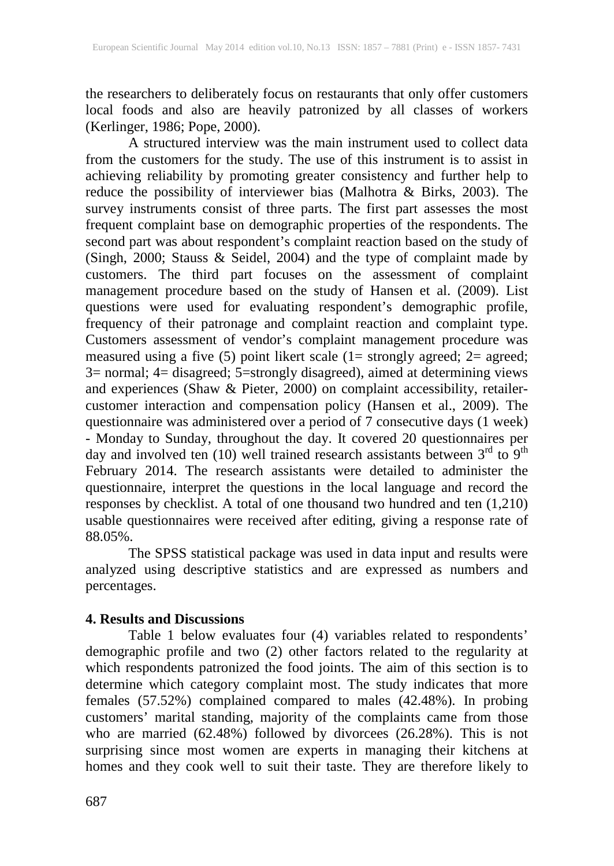the researchers to deliberately focus on restaurants that only offer customers local foods and also are heavily patronized by all classes of workers (Kerlinger, 1986; Pope, 2000).

A structured interview was the main instrument used to collect data from the customers for the study. The use of this instrument is to assist in achieving reliability by promoting greater consistency and further help to reduce the possibility of interviewer bias (Malhotra & Birks, 2003). The survey instruments consist of three parts. The first part assesses the most frequent complaint base on demographic properties of the respondents. The second part was about respondent's complaint reaction based on the study of (Singh, 2000; Stauss & Seidel, 2004) and the type of complaint made by customers. The third part focuses on the assessment of complaint management procedure based on the study of Hansen et al. (2009). List questions were used for evaluating respondent's demographic profile, frequency of their patronage and complaint reaction and complaint type. Customers assessment of vendor's complaint management procedure was measured using a five (5) point likert scale (1= strongly agreed; 2= agreed; 3= normal; 4= disagreed; 5=strongly disagreed), aimed at determining views and experiences (Shaw & Pieter, 2000) on complaint accessibility, retailercustomer interaction and compensation policy (Hansen et al., 2009). The questionnaire was administered over a period of 7 consecutive days (1 week) - Monday to Sunday, throughout the day. It covered 20 questionnaires per day and involved ten (10) well trained research assistants between  $3<sup>rd</sup>$  to  $9<sup>th</sup>$ February 2014. The research assistants were detailed to administer the questionnaire, interpret the questions in the local language and record the responses by checklist. A total of one thousand two hundred and ten (1,210) usable questionnaires were received after editing, giving a response rate of 88.05%.

The SPSS statistical package was used in data input and results were analyzed using descriptive statistics and are expressed as numbers and percentages.

## **4. Results and Discussions**

Table 1 below evaluates four (4) variables related to respondents' demographic profile and two (2) other factors related to the regularity at which respondents patronized the food joints. The aim of this section is to determine which category complaint most. The study indicates that more females (57.52%) complained compared to males (42.48%). In probing customers' marital standing, majority of the complaints came from those who are married (62.48%) followed by divorcees (26.28%). This is not surprising since most women are experts in managing their kitchens at homes and they cook well to suit their taste. They are therefore likely to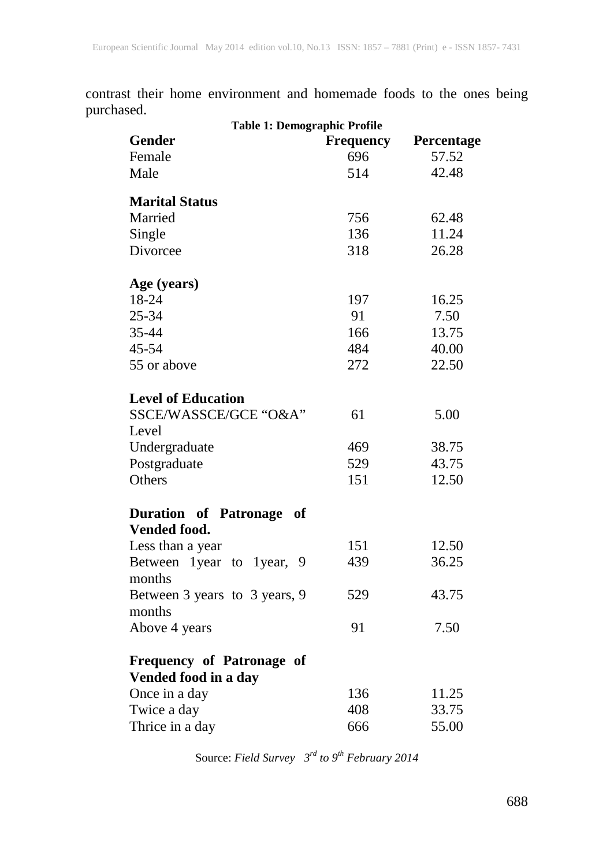contrast their home environment and homemade foods to the ones being purchased.

| <b>Table 1: Demographic Profile</b> |                  |            |  |  |  |
|-------------------------------------|------------------|------------|--|--|--|
| <b>Gender</b>                       | <b>Frequency</b> | Percentage |  |  |  |
| Female                              | 696              | 57.52      |  |  |  |
| Male                                | 514              | 42.48      |  |  |  |
| <b>Marital Status</b>               |                  |            |  |  |  |
| Married                             | 756              | 62.48      |  |  |  |
| Single                              | 136              | 11.24      |  |  |  |
| Divorcee                            | 318              | 26.28      |  |  |  |
| Age (years)                         |                  |            |  |  |  |
| 18-24                               | 197              | 16.25      |  |  |  |
| 25-34                               | 91               | 7.50       |  |  |  |
| 35-44                               | 166              | 13.75      |  |  |  |
| 45-54                               | 484              | 40.00      |  |  |  |
| 55 or above                         | 272              | 22.50      |  |  |  |
| <b>Level of Education</b>           |                  |            |  |  |  |
| SSCE/WASSCE/GCE "O&A"               | 61               | 5.00       |  |  |  |
| Level                               |                  |            |  |  |  |
| Undergraduate                       | 469              | 38.75      |  |  |  |
| Postgraduate                        | 529              | 43.75      |  |  |  |
| Others                              | 151              | 12.50      |  |  |  |
| <b>Duration of Patronage</b><br>of  |                  |            |  |  |  |
| <b>Vended food.</b>                 |                  |            |  |  |  |
| Less than a year                    | 151              | 12.50      |  |  |  |
| Between 1 year to 1 year,<br>9      | 439              | 36.25      |  |  |  |
| months                              |                  |            |  |  |  |
| Between 3 years to 3 years, 9       | 529              | 43.75      |  |  |  |
| months                              |                  |            |  |  |  |
| Above 4 years                       | 91               | 7.50       |  |  |  |
| Frequency of Patronage of           |                  |            |  |  |  |
| Vended food in a day                |                  |            |  |  |  |
| Once in a day                       | 136              | 11.25      |  |  |  |
| Twice a day                         | 408              | 33.75      |  |  |  |
| Thrice in a day                     | 666              | 55.00      |  |  |  |

Source: *Field Survey 3rd to 9th February 2014*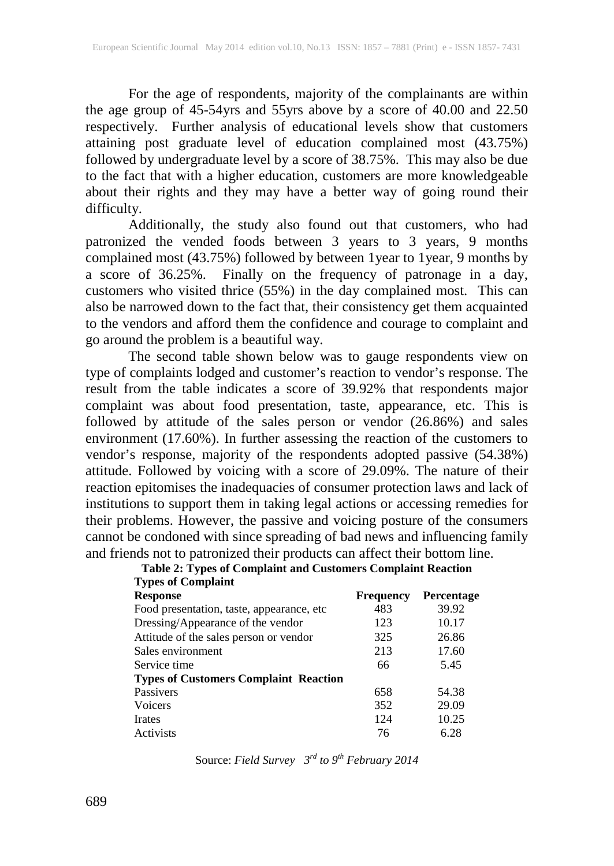For the age of respondents, majority of the complainants are within the age group of 45-54yrs and 55yrs above by a score of 40.00 and 22.50 respectively. Further analysis of educational levels show that customers attaining post graduate level of education complained most (43.75%) followed by undergraduate level by a score of 38.75%. This may also be due to the fact that with a higher education, customers are more knowledgeable about their rights and they may have a better way of going round their difficulty.

Additionally, the study also found out that customers, who had patronized the vended foods between 3 years to 3 years, 9 months complained most (43.75%) followed by between 1year to 1year, 9 months by a score of 36.25%. Finally on the frequency of patronage in a day, customers who visited thrice (55%) in the day complained most. This can also be narrowed down to the fact that, their consistency get them acquainted to the vendors and afford them the confidence and courage to complaint and go around the problem is a beautiful way.

The second table shown below was to gauge respondents view on type of complaints lodged and customer's reaction to vendor's response. The result from the table indicates a score of 39.92% that respondents major complaint was about food presentation, taste, appearance, etc. This is followed by attitude of the sales person or vendor (26.86%) and sales environment (17.60%). In further assessing the reaction of the customers to vendor's response, majority of the respondents adopted passive (54.38%) attitude. Followed by voicing with a score of 29.09%. The nature of their reaction epitomises the inadequacies of consumer protection laws and lack of institutions to support them in taking legal actions or accessing remedies for their problems. However, the passive and voicing posture of the consumers cannot be condoned with since spreading of bad news and influencing family and friends not to patronized their products can affect their bottom line.

| Table 2: Types of Complaint and Customers Complaint Reaction |  |  |
|--------------------------------------------------------------|--|--|
| <b>Types of Complaint</b>                                    |  |  |

| $\sim$ , pes or comparing                    |                  |                   |
|----------------------------------------------|------------------|-------------------|
| <b>Response</b>                              | <b>Frequency</b> | <b>Percentage</b> |
| Food presentation, taste, appearance, etc.   | 483              | 39.92             |
| Dressing/Appearance of the vendor            | 123              | 10.17             |
| Attitude of the sales person or vendor       | 325              | 26.86             |
| Sales environment                            | 213              | 17.60             |
| Service time                                 | 66               | 5.45              |
| <b>Types of Customers Complaint Reaction</b> |                  |                   |
| Passivers                                    | 658              | 54.38             |
| Voicers                                      | 352              | 29.09             |
| <b>Irates</b>                                | 124              | 10.25             |
| Activists                                    | 76               | 6.28              |
|                                              |                  |                   |

Source: *Field Survey 3rd to 9th February 2014*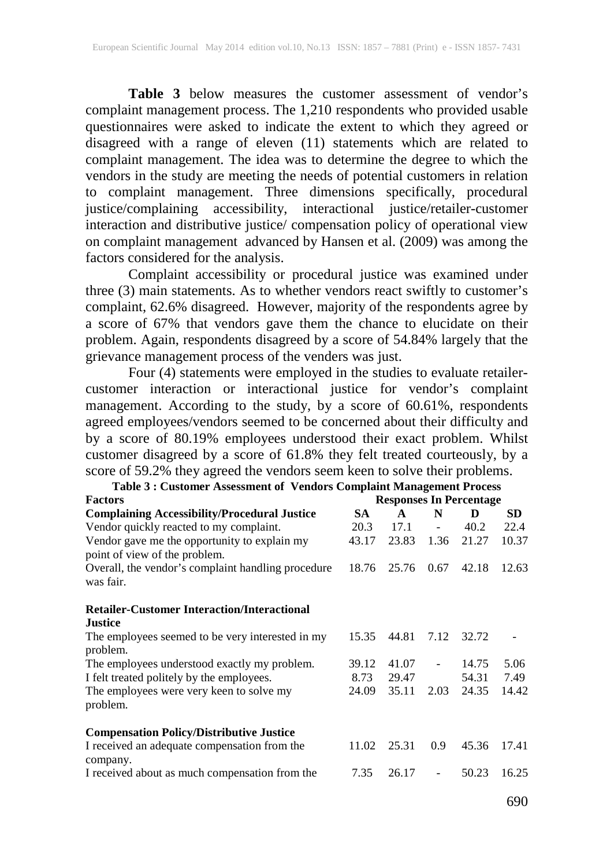Table 3 below measures the customer assessment of vendor's complaint management process. The 1,210 respondents who provided usable questionnaires were asked to indicate the extent to which they agreed or disagreed with a range of eleven (11) statements which are related to complaint management. The idea was to determine the degree to which the vendors in the study are meeting the needs of potential customers in relation to complaint management. Three dimensions specifically, procedural justice/complaining accessibility, interactional justice/retailer-customer interaction and distributive justice/ compensation policy of operational view on complaint management advanced by Hansen et al. (2009) was among the factors considered for the analysis.

Complaint accessibility or procedural justice was examined under three (3) main statements. As to whether vendors react swiftly to customer's complaint, 62.6% disagreed. However, majority of the respondents agree by a score of 67% that vendors gave them the chance to elucidate on their problem. Again, respondents disagreed by a score of 54.84% largely that the grievance management process of the venders was just.

Four (4) statements were employed in the studies to evaluate retailercustomer interaction or interactional justice for vendor's complaint management. According to the study, by a score of 60.61%, respondents agreed employees/vendors seemed to be concerned about their difficulty and by a score of 80.19% employees understood their exact problem. Whilst customer disagreed by a score of 61.8% they felt treated courteously, by a score of 59.2% they agreed the vendors seem keen to solve their problems.

| Table 3: Customer Assessment of Vendors Complaint Management Process          |                                |              |                              |       |       |
|-------------------------------------------------------------------------------|--------------------------------|--------------|------------------------------|-------|-------|
| <b>Factors</b>                                                                | <b>Responses In Percentage</b> |              |                              |       |       |
| <b>Complaining Accessibility/Procedural Justice</b>                           | SA.                            | $\mathbf{A}$ | N                            | D     | SD.   |
| Vendor quickly reacted to my complaint.                                       | 20.3                           | 17.1         | $\qquad \qquad \blacksquare$ | 40.2  | 22.4  |
| Vendor gave me the opportunity to explain my<br>point of view of the problem. | 43.17                          | 23.83        | 1.36                         | 21.27 | 10.37 |
| Overall, the vendor's complaint handling procedure<br>was fair.               | 18.76                          | 25.76        | 0.67                         | 42.18 | 12.63 |
| <b>Retailer-Customer Interaction/Interactional</b>                            |                                |              |                              |       |       |
| <b>Justice</b>                                                                |                                |              |                              |       |       |
| The employees seemed to be very interested in my<br>problem.                  | 15.35                          | 44.81        | 7.12                         | 32.72 |       |
| The employees understood exactly my problem.                                  | 39.12                          | 41.07        | $\blacksquare$               | 14.75 | 5.06  |
| I felt treated politely by the employees.                                     | 8.73                           | 29.47        |                              | 54.31 | 7.49  |
| The employees were very keen to solve my<br>problem.                          | 24.09                          | 35.11        | 2.03                         | 24.35 | 14.42 |
| <b>Compensation Policy/Distributive Justice</b>                               |                                |              |                              |       |       |
| I received an adequate compensation from the<br>company.                      | 11.02                          | 25.31        | 0.9                          | 45.36 | 17.41 |
| I received about as much compensation from the                                | 7.35                           | 26.17        | $\overline{\phantom{0}}$     | 50.23 | 16.25 |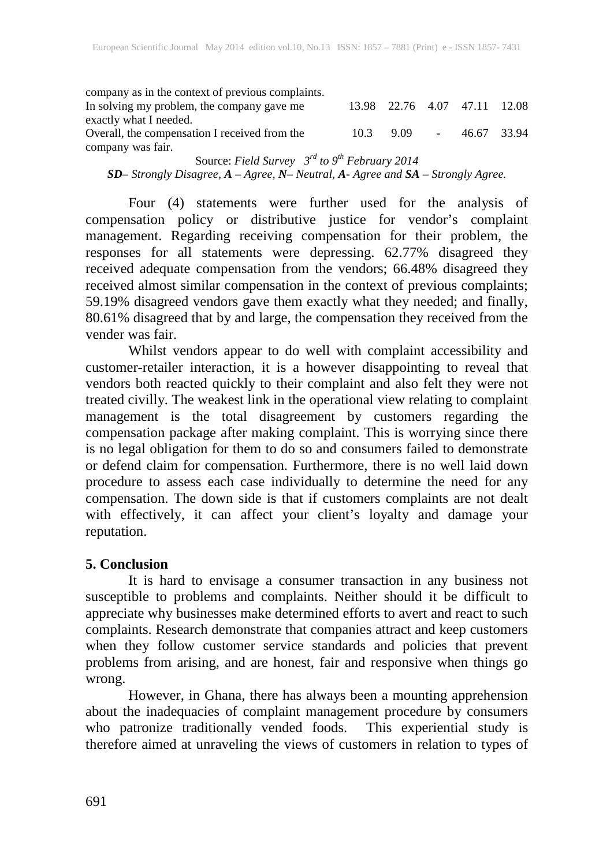company as in the context of previous complaints. In solving my problem, the company gave me exactly what I needed. 13.98 22.76 4.07 47.11 12.08 Overall, the compensation I received from the company was fair. 10.3 9.09 - 46.67 33.94

Source: *Field Survey 3rd to 9th February 2014 SD– Strongly Disagree, A – Agree, N– Neutral, A- Agree and SA – Strongly Agree.*

Four (4) statements were further used for the analysis of compensation policy or distributive justice for vendor's complaint management. Regarding receiving compensation for their problem, the responses for all statements were depressing. 62.77% disagreed they received adequate compensation from the vendors; 66.48% disagreed they received almost similar compensation in the context of previous complaints; 59.19% disagreed vendors gave them exactly what they needed; and finally, 80.61% disagreed that by and large, the compensation they received from the vender was fair.

Whilst vendors appear to do well with complaint accessibility and customer-retailer interaction, it is a however disappointing to reveal that vendors both reacted quickly to their complaint and also felt they were not treated civilly. The weakest link in the operational view relating to complaint management is the total disagreement by customers regarding the compensation package after making complaint. This is worrying since there is no legal obligation for them to do so and consumers failed to demonstrate or defend claim for compensation. Furthermore, there is no well laid down procedure to assess each case individually to determine the need for any compensation. The down side is that if customers complaints are not dealt with effectively, it can affect your client's loyalty and damage your reputation.

## **5. Conclusion**

It is hard to envisage a consumer transaction in any business not susceptible to problems and complaints. Neither should it be difficult to appreciate why businesses make determined efforts to avert and react to such complaints. Research demonstrate that companies attract and keep customers when they follow customer service standards and policies that prevent problems from arising, and are honest, fair and responsive when things go wrong.

However, in Ghana, there has always been a mounting apprehension about the inadequacies of complaint management procedure by consumers who patronize traditionally vended foods. This experiential study is therefore aimed at unraveling the views of customers in relation to types of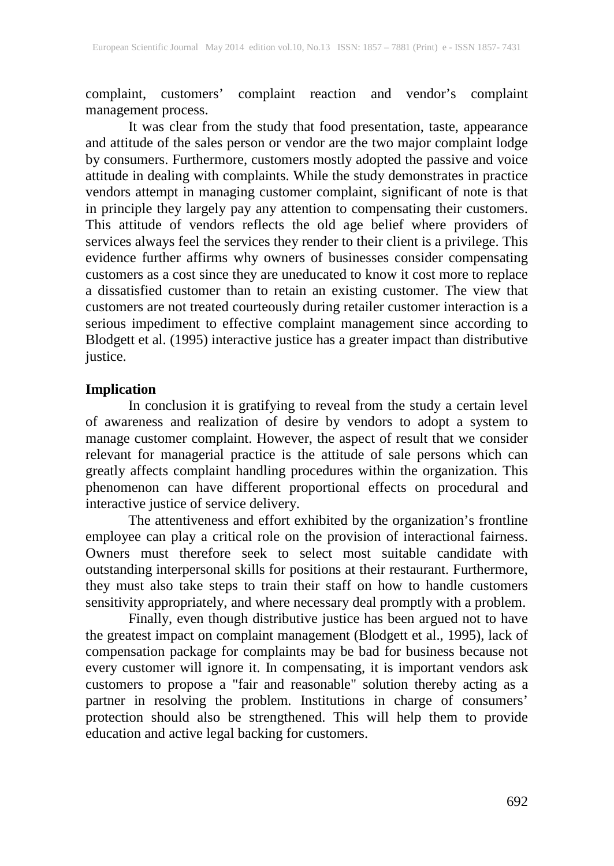complaint, customers' complaint reaction and vendor's complaint management process.

It was clear from the study that food presentation, taste, appearance and attitude of the sales person or vendor are the two major complaint lodge by consumers. Furthermore, customers mostly adopted the passive and voice attitude in dealing with complaints. While the study demonstrates in practice vendors attempt in managing customer complaint, significant of note is that in principle they largely pay any attention to compensating their customers. This attitude of vendors reflects the old age belief where providers of services always feel the services they render to their client is a privilege. This evidence further affirms why owners of businesses consider compensating customers as a cost since they are uneducated to know it cost more to replace a dissatisfied customer than to retain an existing customer. The view that customers are not treated courteously during retailer customer interaction is a serious impediment to effective complaint management since according to Blodgett et al. (1995) interactive justice has a greater impact than distributive justice.

#### **Implication**

In conclusion it is gratifying to reveal from the study a certain level of awareness and realization of desire by vendors to adopt a system to manage customer complaint. However, the aspect of result that we consider relevant for managerial practice is the attitude of sale persons which can greatly affects complaint handling procedures within the organization. This phenomenon can have different proportional effects on procedural and interactive justice of service delivery.

The attentiveness and effort exhibited by the organization's frontline employee can play a critical role on the provision of interactional fairness. Owners must therefore seek to select most suitable candidate with outstanding interpersonal skills for positions at their restaurant. Furthermore, they must also take steps to train their staff on how to handle customers sensitivity appropriately, and where necessary deal promptly with a problem.

Finally, even though distributive justice has been argued not to have the greatest impact on complaint management (Blodgett et al., 1995), lack of compensation package for complaints may be bad for business because not every customer will ignore it. In compensating, it is important vendors ask customers to propose a "fair and reasonable" solution thereby acting as a partner in resolving the problem. Institutions in charge of consumers' protection should also be strengthened. This will help them to provide education and active legal backing for customers.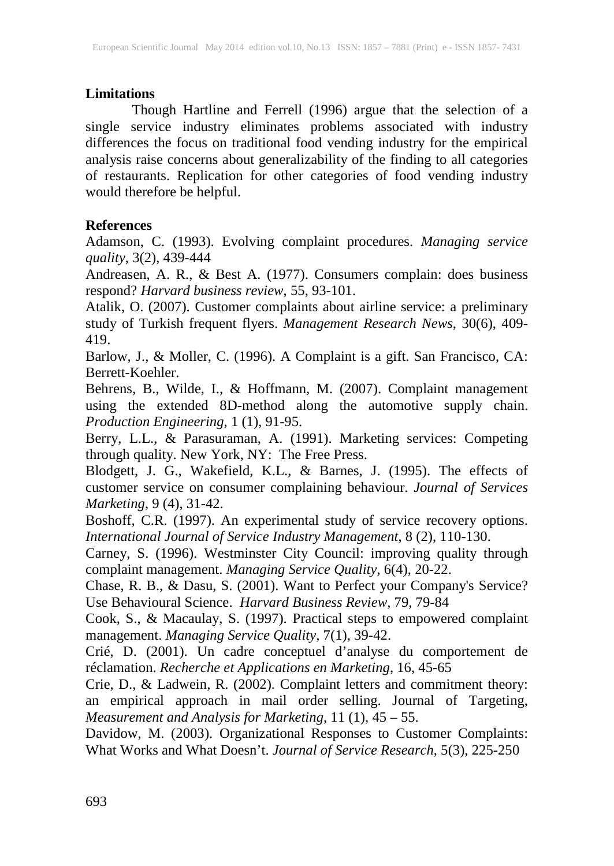## **Limitations**

Though Hartline and Ferrell (1996) argue that the selection of a single service industry eliminates problems associated with industry differences the focus on traditional food vending industry for the empirical analysis raise concerns about generalizability of the finding to all categories of restaurants. Replication for other categories of food vending industry would therefore be helpful.

## **References**

Adamson, C. (1993). Evolving complaint procedures. *Managing service quality*, 3(2), 439-444

Andreasen, A. R., & Best A. (1977). Consumers complain: does business respond? *Harvard business review*, 55, 93-101.

Atalik, O. (2007). Customer complaints about airline service: a preliminary study of Turkish frequent flyers. *Management Research News*, 30(6), 409- 419.

Barlow, J., & Moller, C. (1996). A Complaint is a gift. San Francisco, CA: Berrett-Koehler.

Behrens, B., Wilde, I., & Hoffmann, M. (2007). Complaint management using the extended 8D-method along the automotive supply chain. *Production Engineering*, 1 (1), 91-95.

Berry, L.L., & Parasuraman, A. (1991). Marketing services: Competing through quality. New York, NY: The Free Press.

Blodgett, J. G., Wakefield, K.L., & Barnes, J. (1995). The effects of customer service on consumer complaining behaviour. *Journal of Services Marketing*, 9 (4), 31-42.

Boshoff, C.R. (1997). An experimental study of service recovery options. *International Journal of Service Industry Management*, 8 (2), 110-130.

Carney, S. (1996). Westminster City Council: improving quality through complaint management. *Managing Service Quality*, 6(4), 20-22.

Chase, R. B., & Dasu, S. (2001). Want to Perfect your Company's Service? Use Behavioural Science. *Harvard Business Review*, 79, 79-84

Cook, S., & Macaulay, S. (1997). Practical steps to empowered complaint management. *Managing Service Quality*, 7(1), 39-42.

Crié, D. (2001). Un cadre conceptuel d'analyse du comportement de réclamation. *Recherche et Applications en Marketing*, 16, 45-65

Crie, D., & Ladwein, R. (2002). Complaint letters and commitment theory: an empirical approach in mail order selling. Journal of Targeting, *Measurement and Analysis for Marketing,* 11 (1), 45 – 55.

Davidow, M. (2003). Organizational Responses to Customer Complaints: What Works and What Doesn't. *Journal of Service Research*, 5(3), 225-250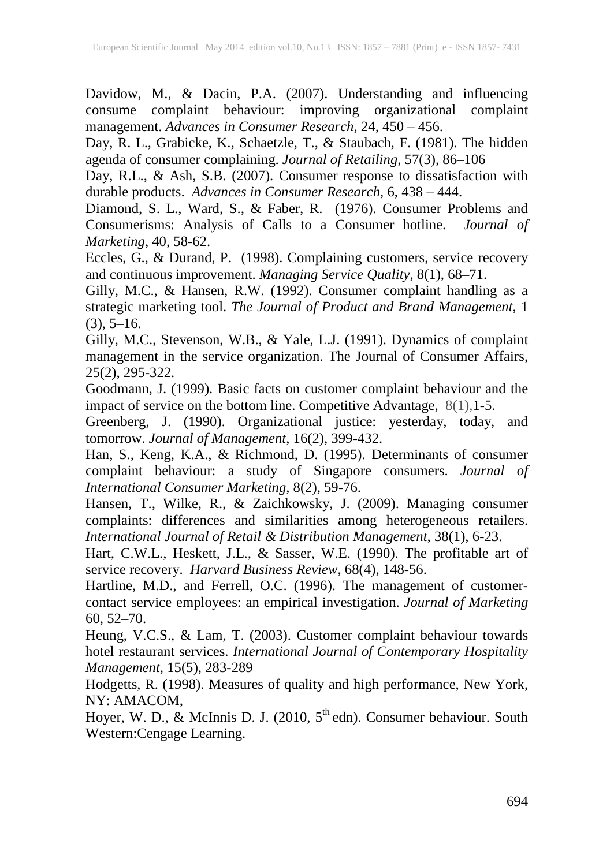Davidow, M., & Dacin, P.A. (2007). Understanding and influencing consume complaint behaviour: improving organizational complaint management. *Advances in Consumer Research*, 24, 450 – 456.

Day, R. L., Grabicke, K., Schaetzle, T., & Staubach, F. (1981). The hidden agenda of consumer complaining. *Journal of Retailing*, 57(3), 86–106

Day, R.L., & Ash, S.B. (2007). Consumer response to dissatisfaction with durable products. *Advances in Consumer Research*, 6, 438 – 444.

Diamond, S. L., Ward, S., & Faber, R. (1976). Consumer Problems and Consumerisms: Analysis of Calls to a Consumer hotline. *Journal of Marketing*, 40, 58-62.

Eccles, G., & Durand, P. (1998). Complaining customers, service recovery and continuous improvement. *Managing Service Quality*, 8(1), 68–71.

Gilly, M.C., & Hansen, R.W. (1992). Consumer complaint handling as a strategic marketing tool. *The Journal of Product and Brand Management*, 1  $(3), 5-16.$ 

Gilly, M.C., Stevenson, W.B., & Yale, L.J. (1991). Dynamics of complaint management in the service organization. The Journal of Consumer Affairs, 25(2), 295-322.

Goodmann, J. (1999). Basic facts on customer complaint behaviour and the impact of service on the bottom line. Competitive Advantage, 8(1),1-5.

Greenberg, J. (1990). Organizational justice: yesterday, today, and tomorrow. *Journal of Management*, 16(2), 399-432.

Han, S., Keng, K.A., & Richmond, D. (1995). Determinants of consumer complaint behaviour: a study of Singapore consumers. *Journal of International Consumer Marketing,* 8(2), 59-76.

Hansen, T., Wilke, R., & Zaichkowsky, J. (2009). Managing consumer complaints: differences and similarities among heterogeneous retailers. *International Journal of Retail & Distribution Management*, 38(1), 6-23.

Hart, C.W.L., Heskett, J.L., & Sasser, W.E. (1990). The profitable art of service recovery. *Harvard Business Review*, 68(4), 148-56.

Hartline, M.D., and Ferrell, O.C. (1996). The management of customercontact service employees: an empirical investigation. *Journal of Marketing* 60, 52–70.

Heung, V.C.S., & Lam, T. (2003). Customer complaint behaviour towards hotel restaurant services. *International Journal of Contemporary Hospitality Management*, 15(5), 283-289

Hodgetts, R. (1998). Measures of quality and high performance, New York, NY: AMACOM,

Hoyer, W. D.,  $\&$  McInnis D. J. (2010,  $5<sup>th</sup>$  edn). Consumer behaviour. South Western:Cengage Learning.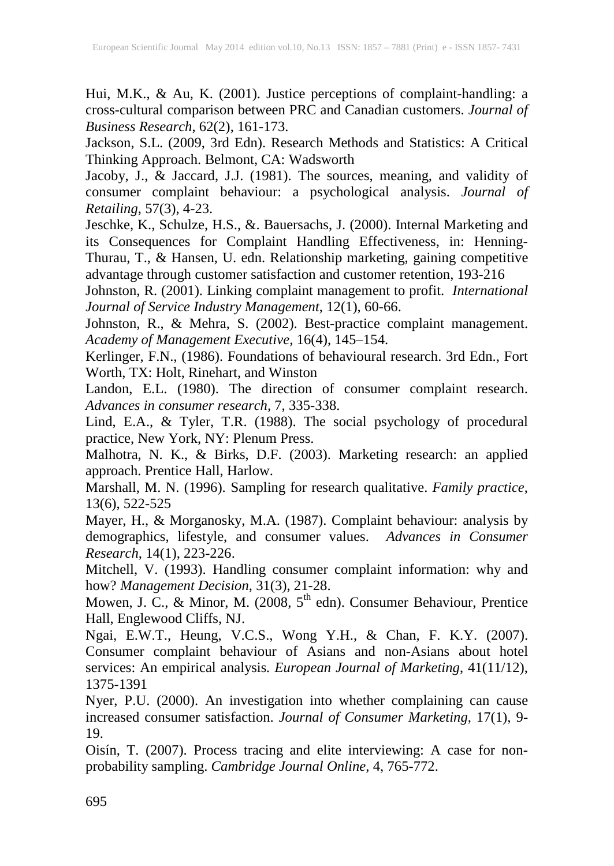Hui, M.K., & Au, K. (2001). Justice perceptions of complaint-handling: a cross-cultural comparison between PRC and Canadian customers. *Journal of Business Research*, 62(2), 161-173.

Jackson, S.L. (2009, 3rd Edn). Research Methods and Statistics: A Critical Thinking Approach. Belmont, CA: Wadsworth

Jacoby, J., & Jaccard, J.J. (1981). The sources, meaning, and validity of consumer complaint behaviour: a psychological analysis. *Journal of Retailing*, 57(3), 4-23.

Jeschke, K., Schulze, H.S., &. Bauersachs, J. (2000). Internal Marketing and its Consequences for Complaint Handling Effectiveness, in: Henning-Thurau, T., & Hansen, U. edn. Relationship marketing, gaining competitive advantage through customer satisfaction and customer retention, 193-216

Johnston, R. (2001). Linking complaint management to profit. *International Journal of Service Industry Management*, 12(1), 60-66.

Johnston, R., & Mehra, S. (2002). Best-practice complaint management. *Academy of Management Executive,* 16(4), 145–154.

Kerlinger, F.N., (1986). Foundations of behavioural research. 3rd Edn., Fort Worth, TX: Holt, Rinehart, and Winston

Landon, E.L. (1980). The direction of consumer complaint research. *Advances in consumer research,* 7, 335-338.

Lind, E.A., & Tyler, T.R. (1988). The social psychology of procedural practice, New York, NY: Plenum Press.

Malhotra, N. K., & Birks, D.F. (2003). Marketing research: an applied approach. Prentice Hall, Harlow.

Marshall, M. N. (1996). Sampling for research qualitative. *Family practice*, 13(6), 522-525

Mayer, H., & Morganosky, M.A. (1987). Complaint behaviour: analysis by demographics, lifestyle, and consumer values. *Advances in Consumer Research*, 14(1), 223-226.

Mitchell, V. (1993). Handling consumer complaint information: why and how? *Management Decision*, 31(3), 21-28.

Mowen, J. C., & Minor, M. (2008, 5<sup>th</sup> edn). Consumer Behaviour, Prentice Hall, Englewood Cliffs, NJ.

Ngai, E.W.T., Heung, V.C.S., Wong Y.H., & Chan, F. K.Y. (2007). Consumer complaint behaviour of Asians and non-Asians about hotel services: An empirical analysis*. European Journal of Marketing*, 41(11/12), 1375-1391

Nyer, P.U. (2000). An investigation into whether complaining can cause increased consumer satisfaction. *Journal of Consumer Marketing*, 17(1), 9- 19.

Oisín, T. (2007). Process tracing and elite interviewing: A case for nonprobability sampling. *Cambridge Journal Online*, 4, 765-772.